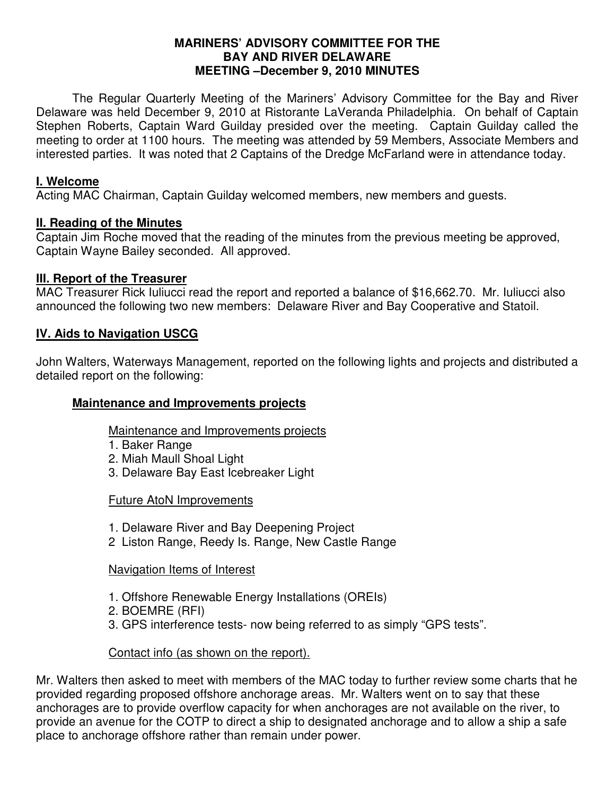#### **MARINERS' ADVISORY COMMITTEE FOR THE BAY AND RIVER DELAWARE MEETING –December 9, 2010 MINUTES**

 The Regular Quarterly Meeting of the Mariners' Advisory Committee for the Bay and River Delaware was held December 9, 2010 at Ristorante LaVeranda Philadelphia. On behalf of Captain Stephen Roberts, Captain Ward Guilday presided over the meeting. Captain Guilday called the meeting to order at 1100 hours. The meeting was attended by 59 Members, Associate Members and interested parties. It was noted that 2 Captains of the Dredge McFarland were in attendance today.

### **I. Welcome**

Acting MAC Chairman, Captain Guilday welcomed members, new members and guests.

#### **II. Reading of the Minutes**

Captain Jim Roche moved that the reading of the minutes from the previous meeting be approved, Captain Wayne Bailey seconded. All approved.

#### **III. Report of the Treasurer**

MAC Treasurer Rick Iuliucci read the report and reported a balance of \$16,662.70. Mr. Iuliucci also announced the following two new members: Delaware River and Bay Cooperative and Statoil.

### **IV. Aids to Navigation USCG**

John Walters, Waterways Management, reported on the following lights and projects and distributed a detailed report on the following:

#### **Maintenance and Improvements projects**

Maintenance and Improvements projects

- 1. Baker Range
- 2. Miah Maull Shoal Light
- 3. Delaware Bay East Icebreaker Light

#### Future AtoN Improvements

- 1. Delaware River and Bay Deepening Project
- 2 Liston Range, Reedy Is. Range, New Castle Range

#### Navigation Items of Interest

- 1. Offshore Renewable Energy Installations (OREIs)
- 2. BOEMRE (RFI)
- 3. GPS interference tests- now being referred to as simply "GPS tests".

### Contact info (as shown on the report).

Mr. Walters then asked to meet with members of the MAC today to further review some charts that he provided regarding proposed offshore anchorage areas. Mr. Walters went on to say that these anchorages are to provide overflow capacity for when anchorages are not available on the river, to provide an avenue for the COTP to direct a ship to designated anchorage and to allow a ship a safe place to anchorage offshore rather than remain under power.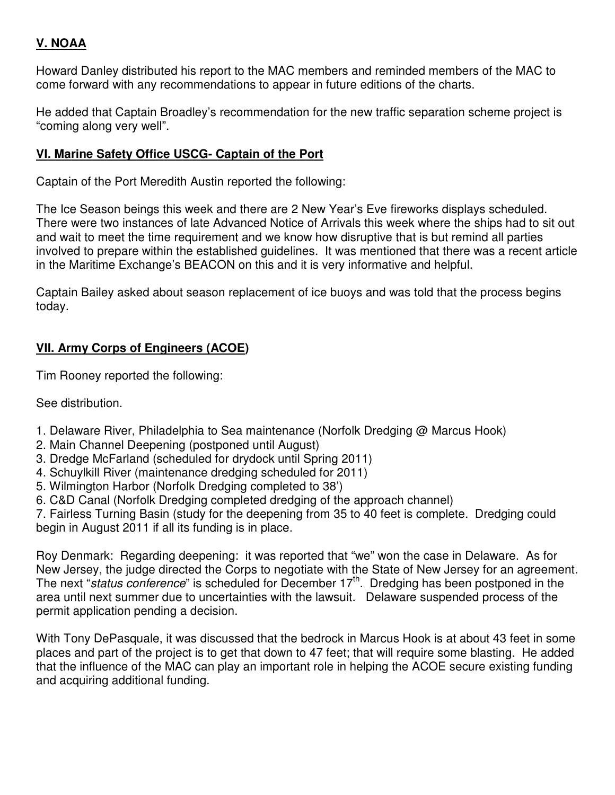# **V. NOAA**

Howard Danley distributed his report to the MAC members and reminded members of the MAC to come forward with any recommendations to appear in future editions of the charts.

He added that Captain Broadley's recommendation for the new traffic separation scheme project is "coming along very well".

# **VI. Marine Safety Office USCG- Captain of the Port**

Captain of the Port Meredith Austin reported the following:

The Ice Season beings this week and there are 2 New Year's Eve fireworks displays scheduled. There were two instances of late Advanced Notice of Arrivals this week where the ships had to sit out and wait to meet the time requirement and we know how disruptive that is but remind all parties involved to prepare within the established guidelines. It was mentioned that there was a recent article in the Maritime Exchange's BEACON on this and it is very informative and helpful.

Captain Bailey asked about season replacement of ice buoys and was told that the process begins today.

# **VII. Army Corps of Engineers (ACOE)**

Tim Rooney reported the following:

See distribution.

- 1. Delaware River, Philadelphia to Sea maintenance (Norfolk Dredging @ Marcus Hook)
- 2. Main Channel Deepening (postponed until August)
- 3. Dredge McFarland (scheduled for drydock until Spring 2011)
- 4. Schuylkill River (maintenance dredging scheduled for 2011)
- 5. Wilmington Harbor (Norfolk Dredging completed to 38')
- 6. C&D Canal (Norfolk Dredging completed dredging of the approach channel)

7. Fairless Turning Basin (study for the deepening from 35 to 40 feet is complete. Dredging could begin in August 2011 if all its funding is in place.

Roy Denmark: Regarding deepening: it was reported that "we" won the case in Delaware. As for New Jersey, the judge directed the Corps to negotiate with the State of New Jersey for an agreement. The next "status conference" is scheduled for December  $17<sup>th</sup>$ . Dredging has been postponed in the area until next summer due to uncertainties with the lawsuit. Delaware suspended process of the permit application pending a decision.

With Tony DePasquale, it was discussed that the bedrock in Marcus Hook is at about 43 feet in some places and part of the project is to get that down to 47 feet; that will require some blasting. He added that the influence of the MAC can play an important role in helping the ACOE secure existing funding and acquiring additional funding.